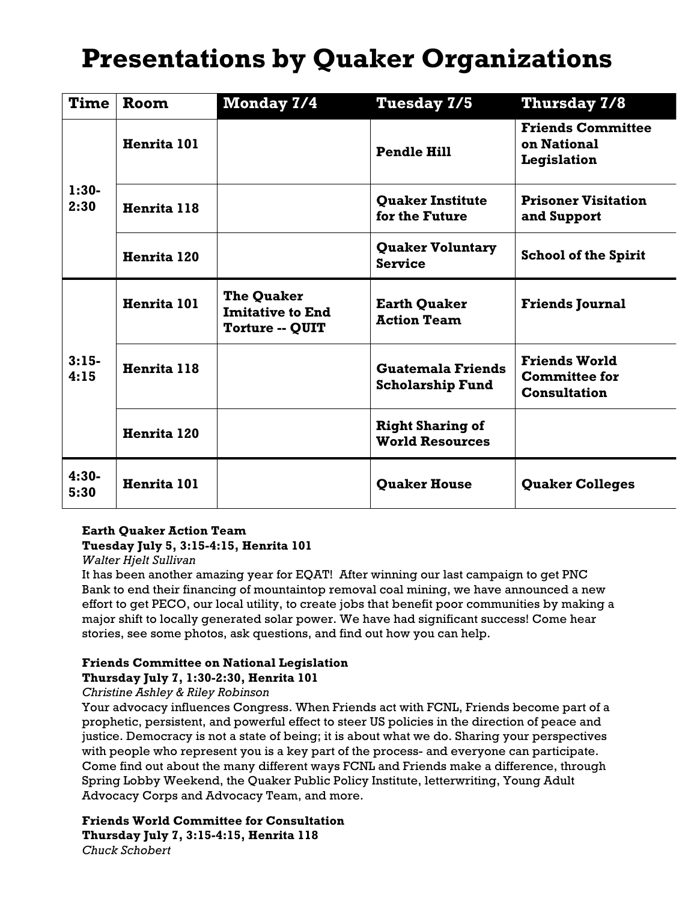## **Presentations by Quaker Organizations**

| <b>Time</b>     | Room        | Monday 7/4                                                             | Tuesday 7/5                                         | <b>Thursday 7/8</b>                                                 |
|-----------------|-------------|------------------------------------------------------------------------|-----------------------------------------------------|---------------------------------------------------------------------|
| $1:30-$<br>2:30 | Henrita 101 |                                                                        | <b>Pendle Hill</b>                                  | <b>Friends Committee</b><br>on National<br>Legislation              |
|                 | Henrita 118 |                                                                        | <b>Quaker Institute</b><br>for the Future           | <b>Prisoner Visitation</b><br>and Support                           |
|                 | Henrita 120 |                                                                        | <b>Quaker Voluntary</b><br><b>Service</b>           | <b>School of the Spirit</b>                                         |
| $3:15-$<br>4:15 | Henrita 101 | <b>The Quaker</b><br><b>Imitative to End</b><br><b>Torture -- QUIT</b> | <b>Earth Quaker</b><br><b>Action Team</b>           | <b>Friends Journal</b>                                              |
|                 | Henrita 118 |                                                                        | <b>Guatemala Friends</b><br><b>Scholarship Fund</b> | <b>Friends World</b><br><b>Committee for</b><br><b>Consultation</b> |
|                 | Henrita 120 |                                                                        | <b>Right Sharing of</b><br><b>World Resources</b>   |                                                                     |
| $4:30-$<br>5:30 | Henrita 101 |                                                                        | <b>Ouaker House</b>                                 | <b>Quaker Colleges</b>                                              |

### **Earth Quaker Action Team**

### **Tuesday July 5, 3:15-4:15, Henrita 101**

*Walter Hjelt Sullivan*

It has been another amazing year for EQAT! After winning our last campaign to get PNC Bank to end their financing of mountaintop removal coal mining, we have announced a new effort to get PECO, our local utility, to create jobs that benefit poor communities by making a major shift to locally generated solar power. We have had significant success! Come hear stories, see some photos, ask questions, and find out how you can help.

#### **Friends Committee on National Legislation Thursday July 7, 1:30-2:30, Henrita 101**

### *Christine Ashley & Riley Robinson*

Your advocacy influences Congress. When Friends act with FCNL, Friends become part of a prophetic, persistent, and powerful effect to steer US policies in the direction of peace and justice. Democracy is not a state of being; it is about what we do. Sharing your perspectives with people who represent you is a key part of the process- and everyone can participate. Come find out about the many different ways FCNL and Friends make a difference, through Spring Lobby Weekend, the Quaker Public Policy Institute, letterwriting, Young Adult Advocacy Corps and Advocacy Team, and more.

**Friends World Committee for Consultation Thursday July 7, 3:15-4:15, Henrita 118** *Chuck Schobert*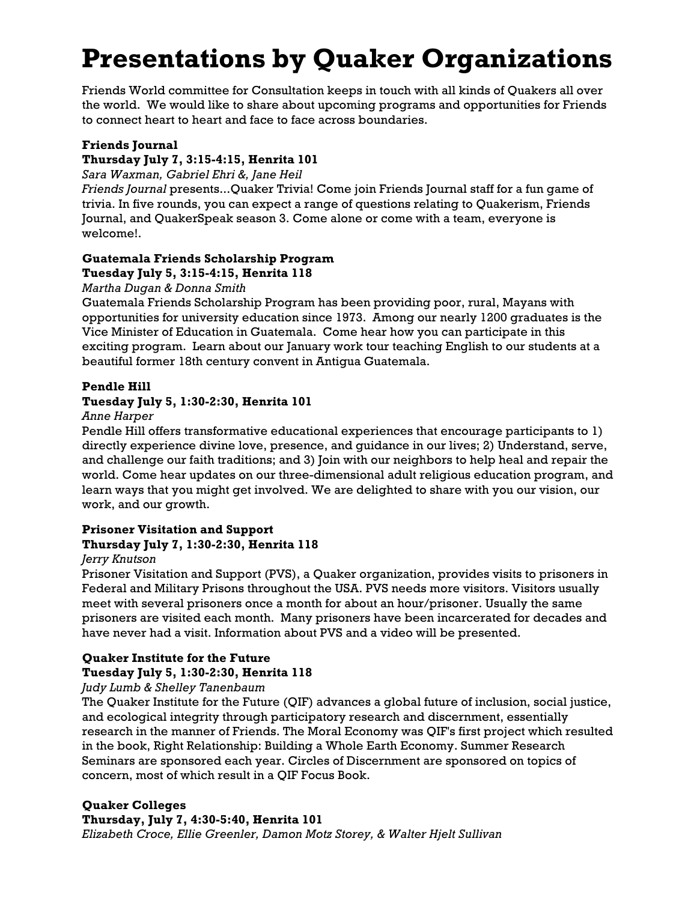# **Presentations by Quaker Organizations**

Friends World committee for Consultation keeps in touch with all kinds of Quakers all over the world. We would like to share about upcoming programs and opportunities for Friends to connect heart to heart and face to face across boundaries.

### **Friends Journal**

### **Thursday July 7, 3:15-4:15, Henrita 101**

*Sara Waxman, Gabriel Ehri &, Jane Heil*

*Friends Journal* presents...Quaker Trivia! Come join Friends Journal staff for a fun game of trivia. In five rounds, you can expect a range of questions relating to Quakerism, Friends Journal, and QuakerSpeak season 3. Come alone or come with a team, everyone is welcome!.

#### **Guatemala Friends Scholarship Program Tuesday July 5, 3:15-4:15, Henrita 118**

### *Martha Dugan & Donna Smith*

Guatemala Friends Scholarship Program has been providing poor, rural, Mayans with opportunities for university education since 1973. Among our nearly 1200 graduates is the Vice Minister of Education in Guatemala. Come hear how you can participate in this exciting program. Learn about our January work tour teaching English to our students at a beautiful former 18th century convent in Antigua Guatemala.

### **Pendle Hill**

### **Tuesday July 5, 1:30-2:30, Henrita 101**

### *Anne Harper*

Pendle Hill offers transformative educational experiences that encourage participants to 1) directly experience divine love, presence, and guidance in our lives; 2) Understand, serve, and challenge our faith traditions; and 3) Join with our neighbors to help heal and repair the world. Come hear updates on our three-dimensional adult religious education program, and learn ways that you might get involved. We are delighted to share with you our vision, our work, and our growth.

### **Prisoner Visitation and Support Thursday July 7, 1:30-2:30, Henrita 118**

### *Jerry Knutson*

Prisoner Visitation and Support (PVS), a Quaker organization, provides visits to prisoners in Federal and Military Prisons throughout the USA. PVS needs more visitors. Visitors usually meet with several prisoners once a month for about an hour/prisoner. Usually the same prisoners are visited each month. Many prisoners have been incarcerated for decades and have never had a visit. Information about PVS and a video will be presented.

#### **Quaker Institute for the Future Tuesday July 5, 1:30-2:30, Henrita 118**

*Judy Lumb & Shelley Tanenbaum*

The Quaker Institute for the Future (QIF) advances a global future of inclusion, social justice, and ecological integrity through participatory research and discernment, essentially research in the manner of Friends. The Moral Economy was QIF's first project which resulted in the book, Right Relationship: Building a Whole Earth Economy. Summer Research Seminars are sponsored each year. Circles of Discernment are sponsored on topics of concern, most of which result in a QIF Focus Book.

### **Quaker Colleges**

**Thursday, July 7, 4:30-5:40, Henrita 101**

*Elizabeth Croce, Ellie Greenler, Damon Motz Storey, & Walter Hjelt Sullivan*